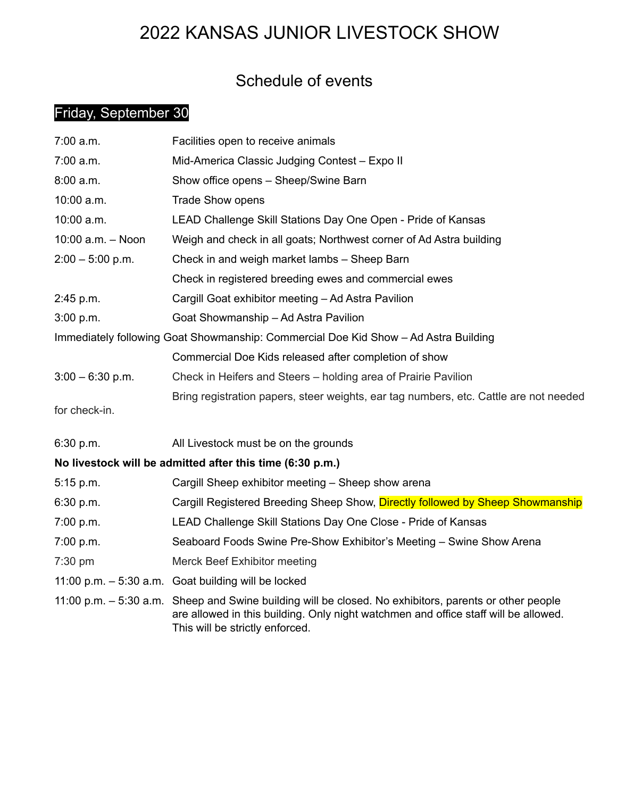# 2022 KANSAS JUNIOR LIVESTOCK SHOW

## Schedule of events

### Friday, September 30

| $7:00$ a.m.                                                                         | Facilities open to receive animals                                                                                                                                                                                               |  |
|-------------------------------------------------------------------------------------|----------------------------------------------------------------------------------------------------------------------------------------------------------------------------------------------------------------------------------|--|
| 7:00 a.m.                                                                           | Mid-America Classic Judging Contest - Expo II                                                                                                                                                                                    |  |
| 8:00 a.m.                                                                           | Show office opens - Sheep/Swine Barn                                                                                                                                                                                             |  |
| 10:00 a.m.                                                                          | <b>Trade Show opens</b>                                                                                                                                                                                                          |  |
| 10:00 a.m.                                                                          | LEAD Challenge Skill Stations Day One Open - Pride of Kansas                                                                                                                                                                     |  |
| 10:00 a.m. - Noon                                                                   | Weigh and check in all goats; Northwest corner of Ad Astra building                                                                                                                                                              |  |
| $2:00 - 5:00$ p.m.                                                                  | Check in and weigh market lambs - Sheep Barn                                                                                                                                                                                     |  |
|                                                                                     | Check in registered breeding ewes and commercial ewes                                                                                                                                                                            |  |
| 2:45 p.m.                                                                           | Cargill Goat exhibitor meeting - Ad Astra Pavilion                                                                                                                                                                               |  |
| 3:00 p.m.                                                                           | Goat Showmanship - Ad Astra Pavilion                                                                                                                                                                                             |  |
| Immediately following Goat Showmanship: Commercial Doe Kid Show - Ad Astra Building |                                                                                                                                                                                                                                  |  |
|                                                                                     | Commercial Doe Kids released after completion of show                                                                                                                                                                            |  |
| $3:00 - 6:30$ p.m.                                                                  | Check in Heifers and Steers – holding area of Prairie Pavilion                                                                                                                                                                   |  |
|                                                                                     | Bring registration papers, steer weights, ear tag numbers, etc. Cattle are not needed                                                                                                                                            |  |
| for check-in.                                                                       |                                                                                                                                                                                                                                  |  |
| 6:30 p.m.                                                                           | All Livestock must be on the grounds                                                                                                                                                                                             |  |
|                                                                                     | No livestock will be admitted after this time (6:30 p.m.)                                                                                                                                                                        |  |
| 5:15 p.m.                                                                           | Cargill Sheep exhibitor meeting - Sheep show arena                                                                                                                                                                               |  |
| 6:30 p.m.                                                                           | Cargill Registered Breeding Sheep Show, Directly followed by Sheep Showmanship                                                                                                                                                   |  |
| 7:00 p.m.                                                                           | LEAD Challenge Skill Stations Day One Close - Pride of Kansas                                                                                                                                                                    |  |
| 7:00 p.m.                                                                           | Seaboard Foods Swine Pre-Show Exhibitor's Meeting - Swine Show Arena                                                                                                                                                             |  |
| $7:30$ pm                                                                           | Merck Beef Exhibitor meeting                                                                                                                                                                                                     |  |
|                                                                                     | 11:00 p.m. $-5:30$ a.m. Goat building will be locked                                                                                                                                                                             |  |
|                                                                                     | 11:00 p.m. – 5:30 a.m. Sheep and Swine building will be closed. No exhibitors, parents or other people<br>are allowed in this building. Only night watchmen and office staff will be allowed.<br>This will be strictly enforced. |  |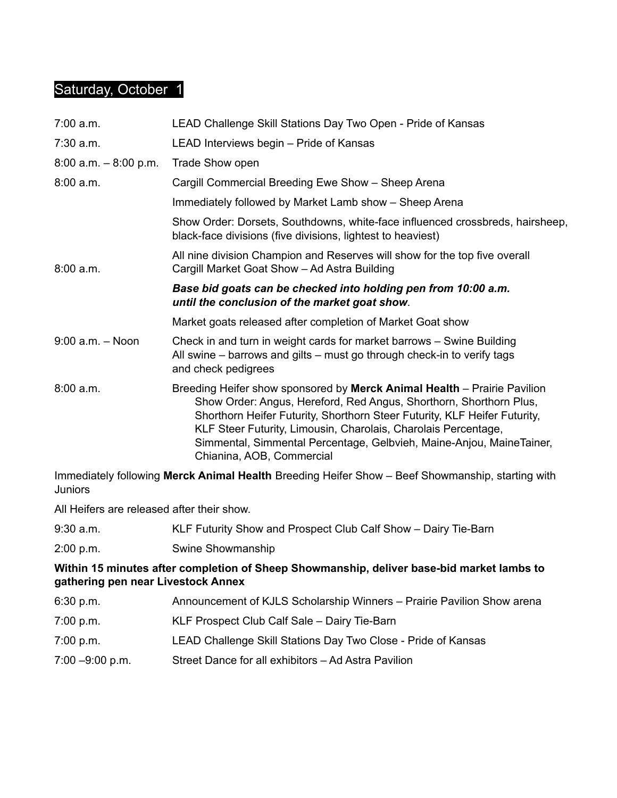### Saturday, October 1

| $7:00$ a.m.              | LEAD Challenge Skill Stations Day Two Open - Pride of Kansas                                                                                                                                                                                                                                                                                                                                       |
|--------------------------|----------------------------------------------------------------------------------------------------------------------------------------------------------------------------------------------------------------------------------------------------------------------------------------------------------------------------------------------------------------------------------------------------|
| $7:30$ a.m.              | LEAD Interviews begin - Pride of Kansas                                                                                                                                                                                                                                                                                                                                                            |
| $8:00$ a.m. $-8:00$ p.m. | Trade Show open                                                                                                                                                                                                                                                                                                                                                                                    |
| 8:00 a.m.                | Cargill Commercial Breeding Ewe Show - Sheep Arena                                                                                                                                                                                                                                                                                                                                                 |
|                          | Immediately followed by Market Lamb show – Sheep Arena                                                                                                                                                                                                                                                                                                                                             |
|                          | Show Order: Dorsets, Southdowns, white-face influenced crossbreds, hairsheep,<br>black-face divisions (five divisions, lightest to heaviest)                                                                                                                                                                                                                                                       |
| 8:00 a.m.                | All nine division Champion and Reserves will show for the top five overall<br>Cargill Market Goat Show - Ad Astra Building                                                                                                                                                                                                                                                                         |
|                          | Base bid goats can be checked into holding pen from 10:00 a.m.<br>until the conclusion of the market goat show.                                                                                                                                                                                                                                                                                    |
|                          | Market goats released after completion of Market Goat show                                                                                                                                                                                                                                                                                                                                         |
| $9:00$ a.m. $-$ Noon     | Check in and turn in weight cards for market barrows - Swine Building<br>All swine – barrows and gilts – must go through check-in to verify tags<br>and check pedigrees                                                                                                                                                                                                                            |
| 8:00 a.m.                | Breeding Heifer show sponsored by Merck Animal Health – Prairie Pavilion<br>Show Order: Angus, Hereford, Red Angus, Shorthorn, Shorthorn Plus,<br>Shorthorn Heifer Futurity, Shorthorn Steer Futurity, KLF Heifer Futurity,<br>KLF Steer Futurity, Limousin, Charolais, Charolais Percentage,<br>Simmental, Simmental Percentage, Gelbvieh, Maine-Anjou, MaineTainer,<br>Chianina, AOB, Commercial |

Immediately following **Merck Animal Health** Breeding Heifer Show – Beef Showmanship, starting with Juniors

All Heifers are released after their show.

9:30 a.m. KLF Futurity Show and Prospect Club Calf Show – Dairy Tie-Barn

2:00 p.m. Swine Showmanship

#### **Within 15 minutes after completion of Sheep Showmanship, deliver base-bid market lambs to gathering pen near Livestock Annex**

| 6:30 p.m.          | Announcement of KJLS Scholarship Winners - Prairie Pavilion Show arena |
|--------------------|------------------------------------------------------------------------|
| 7:00 p.m.          | KLF Prospect Club Calf Sale - Dairy Tie-Barn                           |
| 7:00 p.m.          | LEAD Challenge Skill Stations Day Two Close - Pride of Kansas          |
| $7:00 - 9:00$ p.m. | Street Dance for all exhibitors - Ad Astra Pavilion                    |